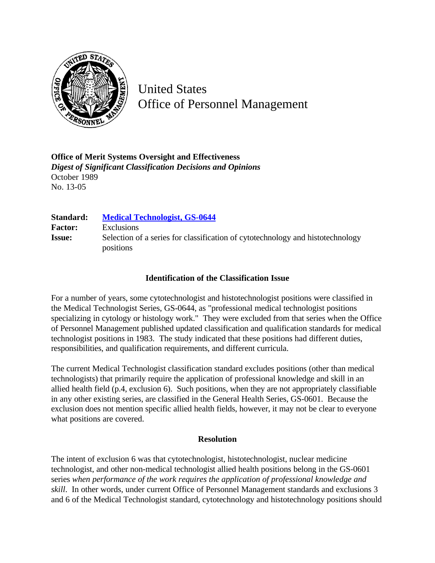

United States Office of Personnel Management

**Office of Merit Systems Oversight and Effectiveness** *Digest of Significant Classification Decisions and Opinions* October 1989 No. 13-05

| Standard:      | <b>Medical Technologist, GS-0644</b>                                                        |
|----------------|---------------------------------------------------------------------------------------------|
| <b>Factor:</b> | <b>Exclusions</b>                                                                           |
| <b>Issue:</b>  | Selection of a series for classification of cytotechnology and histotechnology<br>positions |

## **Identification of the Classification Issue**

For a number of years, some cytotechnologist and histotechnologist positions were classified in the Medical Technologist Series, GS-0644, as "professional medical technologist positions specializing in cytology or histology work." They were excluded from that series when the Office of Personnel Management published updated classification and qualification standards for medical technologist positions in 1983. The study indicated that these positions had different duties, responsibilities, and qualification requirements, and different curricula.

The current Medical Technologist classification standard excludes positions (other than medical technologists) that primarily require the application of professional knowledge and skill in an allied health field (p.4, exclusion 6). Such positions, when they are not appropriately classifiable in any other existing series, are classified in the General Health Series, GS-0601. Because the exclusion does not mention specific allied health fields, however, it may not be clear to everyone what positions are covered.

## **Resolution**

The intent of exclusion 6 was that cytotechnologist, histotechnologist, nuclear medicine technologist, and other non-medical technologist allied health positions belong in the GS-0601 series *when performance of the work requires the application of professional knowledge and skill*. In other words, under current Office of Personnel Management standards and exclusions 3 and 6 of the Medical Technologist standard, cytotechnology and histotechnology positions should